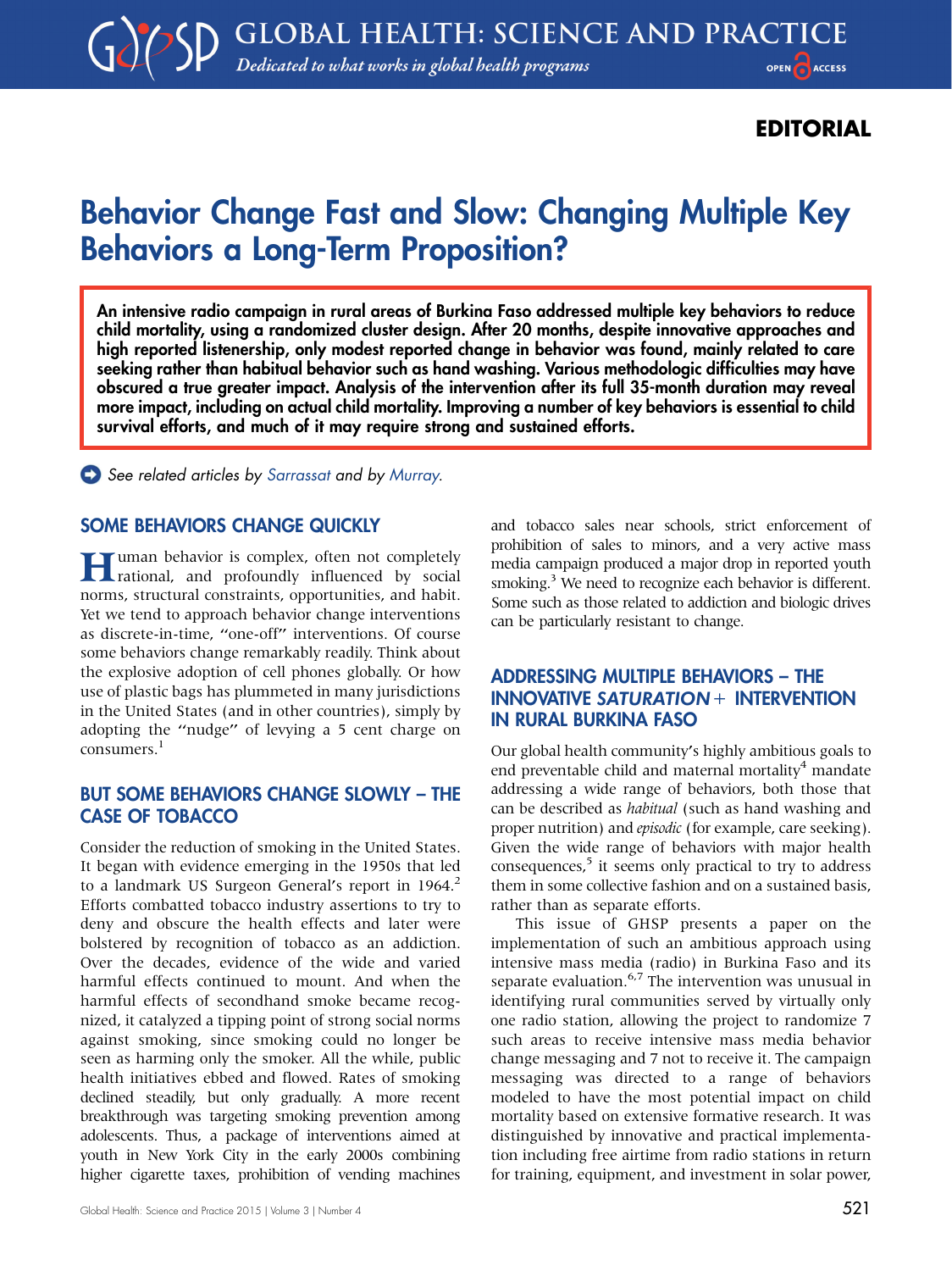# EDITORIAL

# Behavior Change Fast and Slow: Changing Multiple Key Behaviors a Long-Term Proposition?

An intensive radio campaign in rural areas of Burkina Faso addressed multiple key behaviors to reduce child mortality, using a randomized cluster design. After 20 months, despite innovative approaches and high reported listenership, only modest reported change in behavior was found, mainly related to care seeking rather than habitual behavior such as hand washing. Various methodologic difficulties may have obscured a true greater impact. Analysis of the intervention after its full 35-month duration may reveal more impact, including on actual child mortality. Improving a number of key behaviors is essential to child survival efforts, and much of it may require strong and sustained efforts.

See related articles by [Sarrassat](http://dx.doi.org/10.9745/GHSP-D-15-00153) and by [Murray.](http://dx.doi.org/10.9745/GHSP-D-15-00049)

## SOME BEHAVIORS CHANGE QUICKLY

**Human** behavior is complex, often not completely rational, and profoundly influenced by social norms, structural constraints, opportunities, and habit. Yet we tend to approach behavior change interventions as discrete-in-time, ''one-off'' interventions. Of course some behaviors change remarkably readily. Think about the explosive adoption of cell phones globally. Or how use of plastic bags has plummeted in many jurisdictions in the United States (and in other countries), simply by adopting the ''nudge'' of levying a 5 cent charge on consumers.<sup>1</sup>

#### BUT SOME BEHAVIORS CHANGE SLOWLY – THE CASE OF TOBACCO

Consider the reduction of smoking in the United States. It began with evidence emerging in the 1950s that led to a landmark US Surgeon General's report in 1964.<sup>2</sup> Efforts combatted tobacco industry assertions to try to deny and obscure the health effects and later were bolstered by recognition of tobacco as an addiction. Over the decades, evidence of the wide and varied harmful effects continued to mount. And when the harmful effects of secondhand smoke became recognized, it catalyzed a tipping point of strong social norms against smoking, since smoking could no longer be seen as harming only the smoker. All the while, public health initiatives ebbed and flowed. Rates of smoking declined steadily, but only gradually. A more recent breakthrough was targeting smoking prevention among adolescents. Thus, a package of interventions aimed at youth in New York City in the early 2000s combining higher cigarette taxes, prohibition of vending machines

Global Health: Science and Practice 2015 | Volume 3 | Number 4  $521$ 

and tobacco sales near schools, strict enforcement of prohibition of sales to minors, and a very active mass media campaign produced a major drop in reported youth smoking.<sup>3</sup> We need to recognize each behavior is different. Some such as those related to addiction and biologic drives can be particularly resistant to change.

## ADDRESSING MULTIPLE BEHAVIORS – THE INNOVATIVE SATURATION+ INTERVENTION IN RURAL BURKINA FASO

Our global health community's highly ambitious goals to end preventable child and maternal mortality<sup>4</sup> mandate addressing a wide range of behaviors, both those that can be described as habitual (such as hand washing and proper nutrition) and episodic (for example, care seeking). Given the wide range of behaviors with major health consequences, $5$  it seems only practical to try to address them in some collective fashion and on a sustained basis, rather than as separate efforts.

This issue of GHSP presents a paper on the implementation of such an ambitious approach using intensive mass media (radio) in Burkina Faso and its separate evaluation. $6.7$  The intervention was unusual in identifying rural communities served by virtually only one radio station, allowing the project to randomize 7 such areas to receive intensive mass media behavior change messaging and 7 not to receive it. The campaign messaging was directed to a range of behaviors modeled to have the most potential impact on child mortality based on extensive formative research. It was distinguished by innovative and practical implementation including free airtime from radio stations in return for training, equipment, and investment in solar power,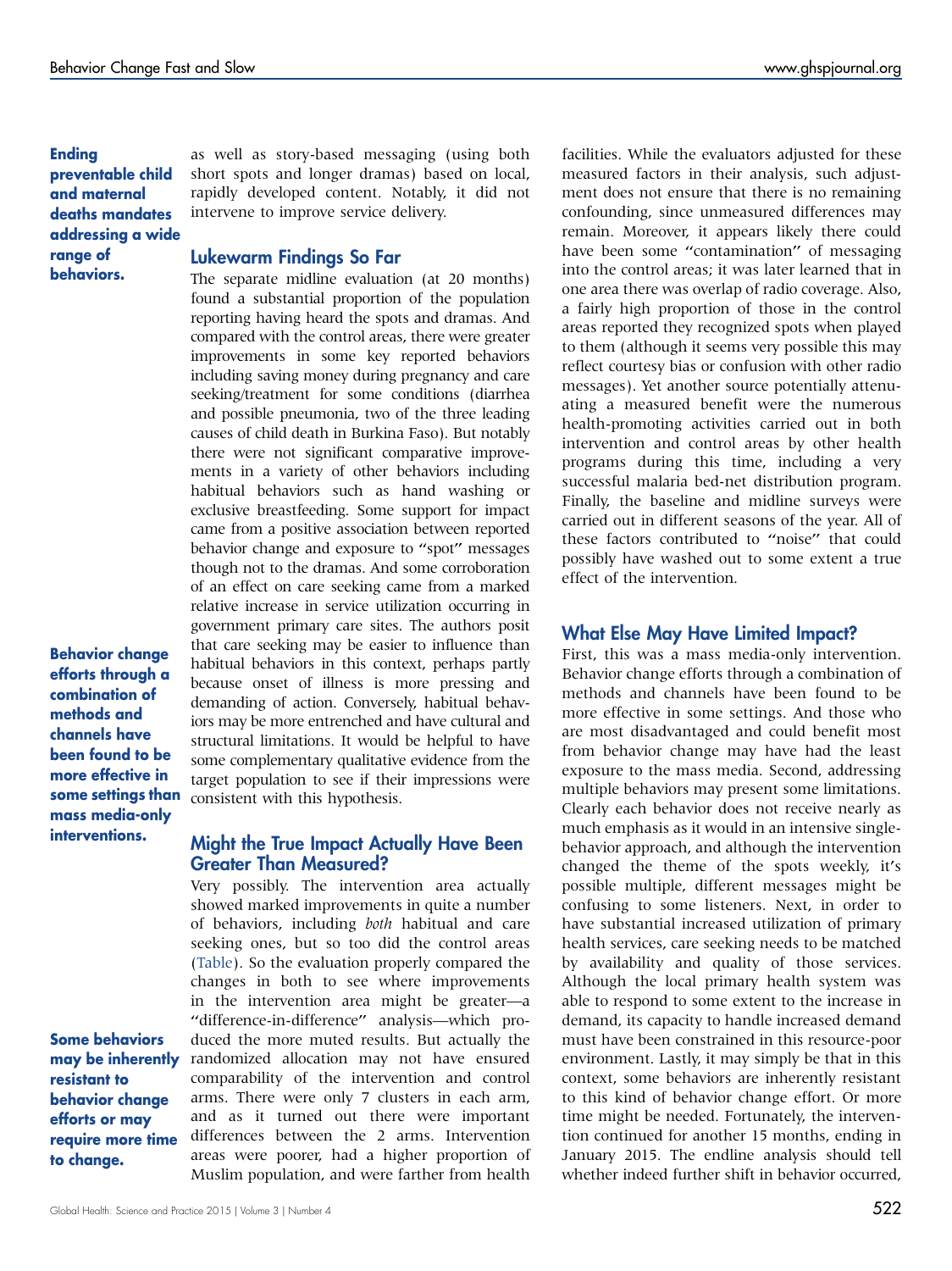Ending preventable child and maternal deaths mandates addressing a wide range of behaviors.

Behavior change efforts through a combination of methods and channels have been found to be more effective in some settings than mass media-only interventions.

Some behaviors may be inherently resistant to behavior change efforts or may require more time to change.

Global Health: Science and Practice 2015 | Volume 3 | Number 4  $522$ 

as well as story-based messaging (using both short spots and longer dramas) based on local, rapidly developed content. Notably, it did not intervene to improve service delivery.

#### Lukewarm Findings So Far

The separate midline evaluation (at 20 months) found a substantial proportion of the population reporting having heard the spots and dramas. And compared with the control areas, there were greater improvements in some key reported behaviors including saving money during pregnancy and care seeking/treatment for some conditions (diarrhea and possible pneumonia, two of the three leading causes of child death in Burkina Faso). But notably there were not significant comparative improvements in a variety of other behaviors including habitual behaviors such as hand washing or exclusive breastfeeding. Some support for impact came from a positive association between reported behavior change and exposure to "spot" messages though not to the dramas. And some corroboration of an effect on care seeking came from a marked relative increase in service utilization occurring in government primary care sites. The authors posit that care seeking may be easier to influence than habitual behaviors in this context, perhaps partly because onset of illness is more pressing and demanding of action. Conversely, habitual behaviors may be more entrenched and have cultural and structural limitations. It would be helpful to have some complementary qualitative evidence from the target population to see if their impressions were consistent with this hypothesis.

#### Might the True Impact Actually Have Been Greater Than Measured?

Very possibly. The intervention area actually showed marked improvements in quite a number of behaviors, including both habitual and care seeking ones, but so too did the control areas [\(Table\)](#page-2-0). So the evaluation properly compared the changes in both to see where improvements in the intervention area might be greater—a ''difference-in-difference'' analysis—which produced the more muted results. But actually the randomized allocation may not have ensured comparability of the intervention and control arms. There were only 7 clusters in each arm, and as it turned out there were important differences between the 2 arms. Intervention areas were poorer, had a higher proportion of Muslim population, and were farther from health facilities. While the evaluators adjusted for these measured factors in their analysis, such adjustment does not ensure that there is no remaining confounding, since unmeasured differences may remain. Moreover, it appears likely there could have been some "contamination" of messaging into the control areas; it was later learned that in one area there was overlap of radio coverage. Also, a fairly high proportion of those in the control areas reported they recognized spots when played to them (although it seems very possible this may reflect courtesy bias or confusion with other radio messages). Yet another source potentially attenuating a measured benefit were the numerous health-promoting activities carried out in both intervention and control areas by other health programs during this time, including a very successful malaria bed-net distribution program. Finally, the baseline and midline surveys were carried out in different seasons of the year. All of these factors contributed to ''noise'' that could possibly have washed out to some extent a true effect of the intervention.

#### What Else May Have Limited Impact?

First, this was a mass media-only intervention. Behavior change efforts through a combination of methods and channels have been found to be more effective in some settings. And those who are most disadvantaged and could benefit most from behavior change may have had the least exposure to the mass media. Second, addressing multiple behaviors may present some limitations. Clearly each behavior does not receive nearly as much emphasis as it would in an intensive singlebehavior approach, and although the intervention changed the theme of the spots weekly, it's possible multiple, different messages might be confusing to some listeners. Next, in order to have substantial increased utilization of primary health services, care seeking needs to be matched by availability and quality of those services. Although the local primary health system was able to respond to some extent to the increase in demand, its capacity to handle increased demand must have been constrained in this resource-poor environment. Lastly, it may simply be that in this context, some behaviors are inherently resistant to this kind of behavior change effort. Or more time might be needed. Fortunately, the intervention continued for another 15 months, ending in January 2015. The endline analysis should tell whether indeed further shift in behavior occurred,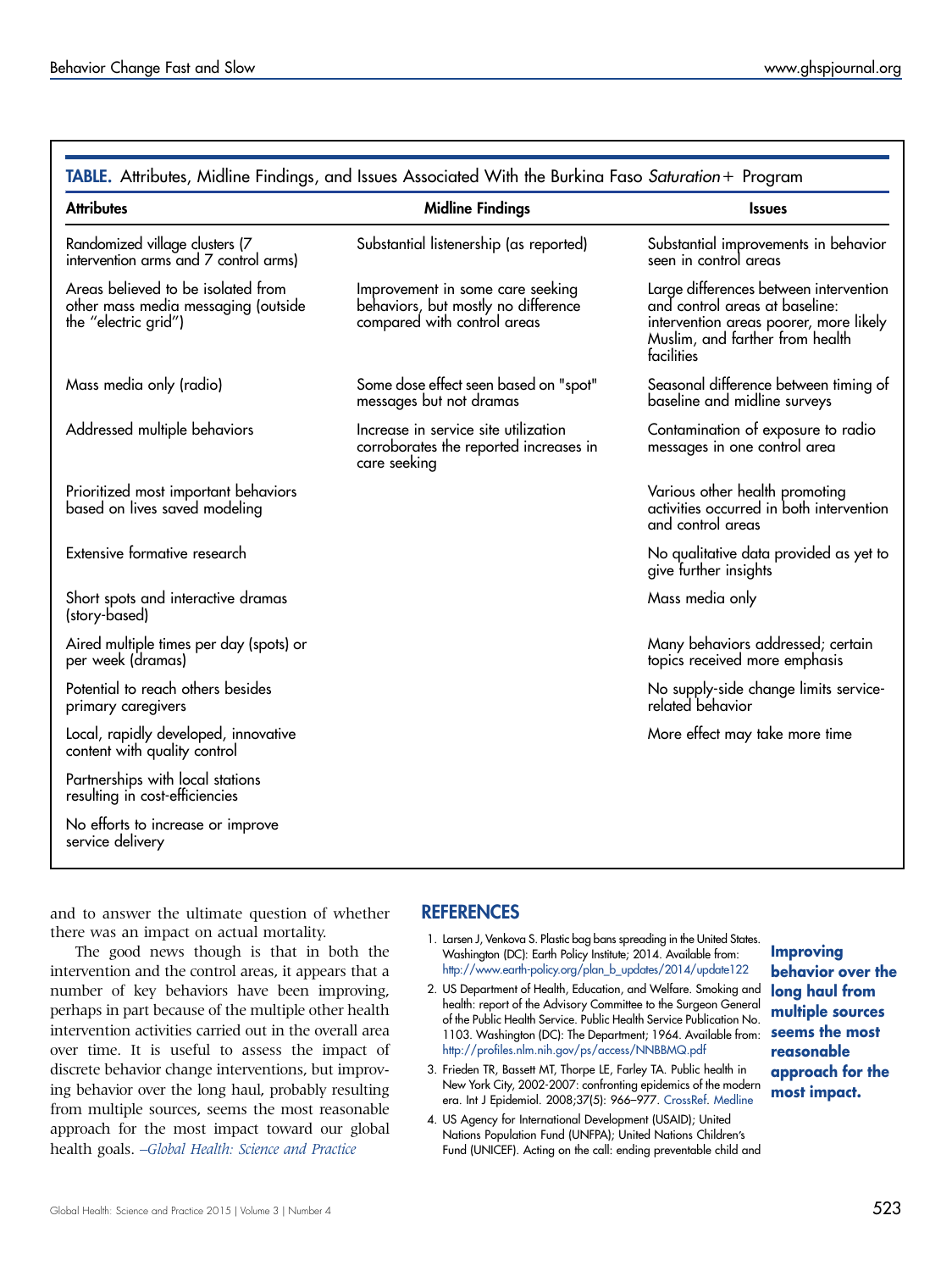<span id="page-2-0"></span>

| <b>Attributes</b>                                                                                 | <b>Midline Findings</b>                                                                                | <b>Issues</b>                                                                                                                                                       |
|---------------------------------------------------------------------------------------------------|--------------------------------------------------------------------------------------------------------|---------------------------------------------------------------------------------------------------------------------------------------------------------------------|
| Randomized village clusters (7<br>intervention arms and 7 control arms)                           | Substantial listenership (as reported)                                                                 | Substantial improvements in behavior<br>seen in control areas                                                                                                       |
| Areas believed to be isolated from<br>other mass media messaging (outside<br>the "electric grid") | Improvement in some care seeking<br>behaviors, but mostly no difference<br>compared with control areas | Large differences between intervention<br>and control areas at baseline:<br>intervention areas poorer, more likely<br>Muslim, and farther from health<br>facilities |
| Mass media only (radio)                                                                           | Some dose effect seen based on "spot"<br>messages but not dramas                                       | Seasonal difference between timing of<br>baseline and midline surveys                                                                                               |
| Addressed multiple behaviors                                                                      | Increase in service site utilization<br>corroborates the reported increases in<br>care seeking         | Contamination of exposure to radio<br>messages in one control area                                                                                                  |
| Prioritized most important behaviors<br>based on lives saved modeling                             |                                                                                                        | Various other health promoting<br>activities occurred in both intervention<br>and control areas                                                                     |
| Extensive formative research                                                                      |                                                                                                        | No qualitative data provided as yet to<br>give further insights                                                                                                     |
| Short spots and interactive dramas<br>(story-based)                                               |                                                                                                        | Mass media only                                                                                                                                                     |
| Aired multiple times per day (spots) or<br>per week (dramas)                                      |                                                                                                        | Many behaviors addressed; certain<br>topics received more emphasis                                                                                                  |
| Potential to reach others besides<br>primary caregivers                                           |                                                                                                        | No supply-side change limits service-<br>related behavior                                                                                                           |
| Local, rapidly developed, innovative<br>content with quality control                              |                                                                                                        | More effect may take more time                                                                                                                                      |
| Partnerships with local stations<br>resulting in cost-efficiencies                                |                                                                                                        |                                                                                                                                                                     |
| No efforts to increase or improve<br>service delivery                                             |                                                                                                        |                                                                                                                                                                     |

and to answer the ultimate question of whether there was an impact on actual mortality.

The good news though is that in both the intervention and the control areas, it appears that a number of key behaviors have been improving, perhaps in part because of the multiple other health intervention activities carried out in the overall area over time. It is useful to assess the impact of discrete behavior change interventions, but improving behavior over the long haul, probably resulting from multiple sources, seems the most reasonable approach for the most impact toward our global health goals. -Global Health: Science and Practice

## **REFERENCES**

- 1. Larsen J, Venkova S. Plastic bag bans spreading in the United States. Washington (DC): Earth Policy Institute; 2014. Available from: [http://www.earth-policy.org/plan\\_b\\_updates/2014/update122](http://www.earth-policy.org/plan_b_updates/2014/update122)
- 2. US Department of Health, Education, and Welfare. Smoking and health: report of the Advisory Committee to the Surgeon General of the Public Health Service. Public Health Service Publication No. 1103. Washington (DC): The Department; 1964. Available from: <http://profiles.nlm.nih.gov/ps/access/NNBBMQ.pdf>
- 3. Frieden TR, Bassett MT, Thorpe LE, Farley TA. Public health in New York City, 2002-2007: confronting epidemics of the modern era. Int J Epidemiol. 2008;37(5): 966–977. [CrossRef.](http://dx.doi.org/10.1093/ije/dyn108) [Medline](http://www.ncbi.nlm.nih.gov/pubmed/18540026)
- 4. US Agency for International Development (USAID); United Nations Population Fund (UNFPA); United Nations Children's Fund (UNICEF). Acting on the call: ending preventable child and

Improving behavior over the long haul from multiple sources seems the most reasonable approach for the most impact.